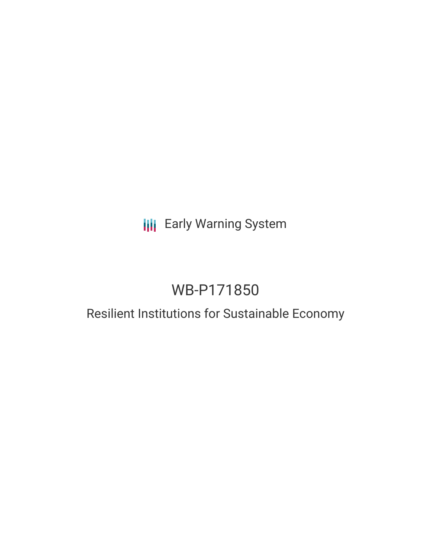## **III** Early Warning System

# WB-P171850

# Resilient Institutions for Sustainable Economy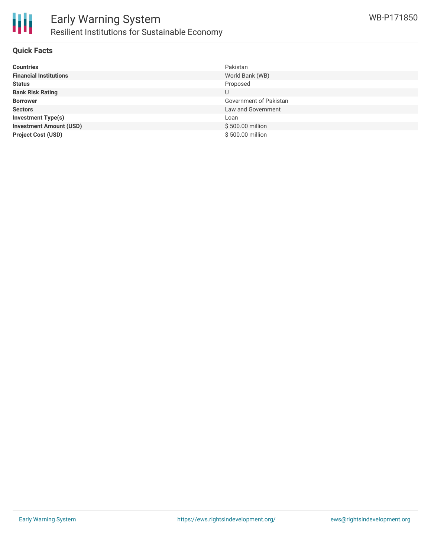

#### **Quick Facts**

| <b>Countries</b>               | Pakistan               |
|--------------------------------|------------------------|
| <b>Financial Institutions</b>  | World Bank (WB)        |
| <b>Status</b>                  | Proposed               |
| <b>Bank Risk Rating</b>        | U                      |
| <b>Borrower</b>                | Government of Pakistan |
| <b>Sectors</b>                 | Law and Government     |
| <b>Investment Type(s)</b>      | Loan                   |
| <b>Investment Amount (USD)</b> | \$500.00 million       |
| <b>Project Cost (USD)</b>      | \$500,00 million       |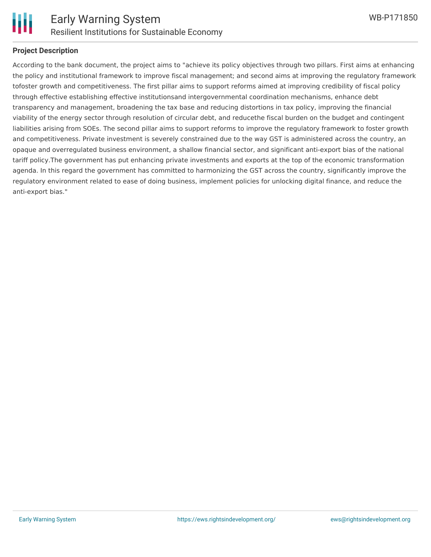

#### **Project Description**

According to the bank document, the project aims to "achieve its policy objectives through two pillars. First aims at enhancing the policy and institutional framework to improve fiscal management; and second aims at improving the regulatory framework tofoster growth and competitiveness. The first pillar aims to support reforms aimed at improving credibility of fiscal policy through effective establishing effective institutionsand intergovernmental coordination mechanisms, enhance debt transparency and management, broadening the tax base and reducing distortions in tax policy, improving the financial viability of the energy sector through resolution of circular debt, and reducethe fiscal burden on the budget and contingent liabilities arising from SOEs. The second pillar aims to support reforms to improve the regulatory framework to foster growth and competitiveness. Private investment is severely constrained due to the way GST is administered across the country, an opaque and overregulated business environment, a shallow financial sector, and significant anti-export bias of the national tariff policy.The government has put enhancing private investments and exports at the top of the economic transformation agenda. In this regard the government has committed to harmonizing the GST across the country, significantly improve the regulatory environment related to ease of doing business, implement policies for unlocking digital finance, and reduce the anti-export bias."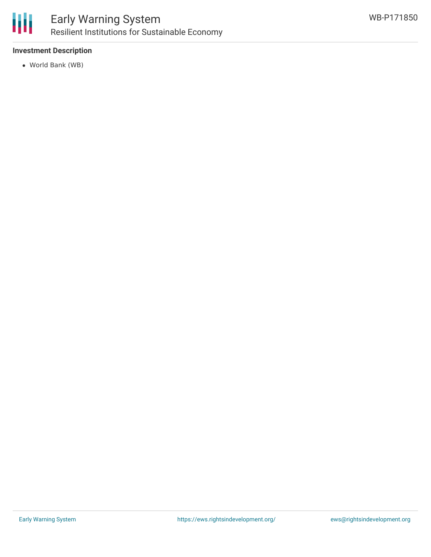

## Early Warning System Resilient Institutions for Sustainable Economy

### **Investment Description**

World Bank (WB)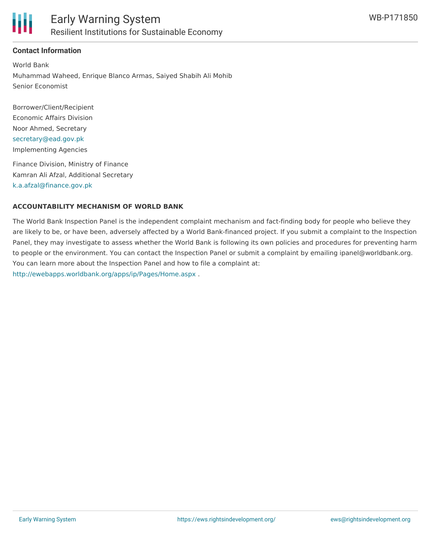

### **Contact Information**

World Bank Muhammad Waheed, Enrique Blanco Armas, Saiyed Shabih Ali Mohib Senior Economist

Borrower/Client/Recipient Economic Affairs Division Noor Ahmed, Secretary [secretary@ead.gov.pk](mailto:secretary@ead.gov.pk) Implementing Agencies

Finance Division, Ministry of Finance Kamran Ali Afzal, Additional Secretary [k.a.afzal@finance.gov.pk](mailto:k.a.afzal@finance.gov.pk)

#### **ACCOUNTABILITY MECHANISM OF WORLD BANK**

The World Bank Inspection Panel is the independent complaint mechanism and fact-finding body for people who believe they are likely to be, or have been, adversely affected by a World Bank-financed project. If you submit a complaint to the Inspection Panel, they may investigate to assess whether the World Bank is following its own policies and procedures for preventing harm to people or the environment. You can contact the Inspection Panel or submit a complaint by emailing ipanel@worldbank.org. You can learn more about the Inspection Panel and how to file a complaint at: <http://ewebapps.worldbank.org/apps/ip/Pages/Home.aspx> .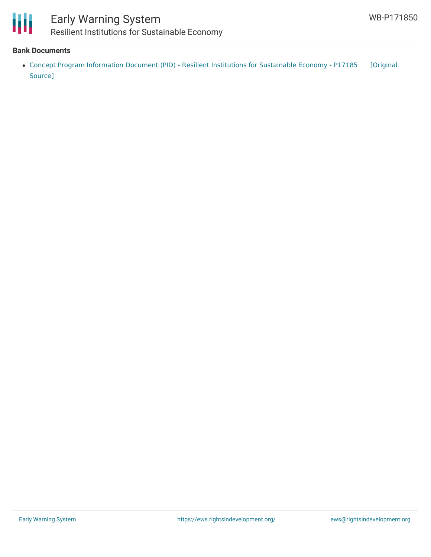

### Early Warning System Resilient Institutions for Sustainable Economy

#### **Bank Documents**

Concept Program Information Document (PID) - Resilient Institutions for [Sustainable](https://ewsdata.rightsindevelopment.org/files/documents/50/WB-P171850.pdf) Economy - P17185 [Original Source]